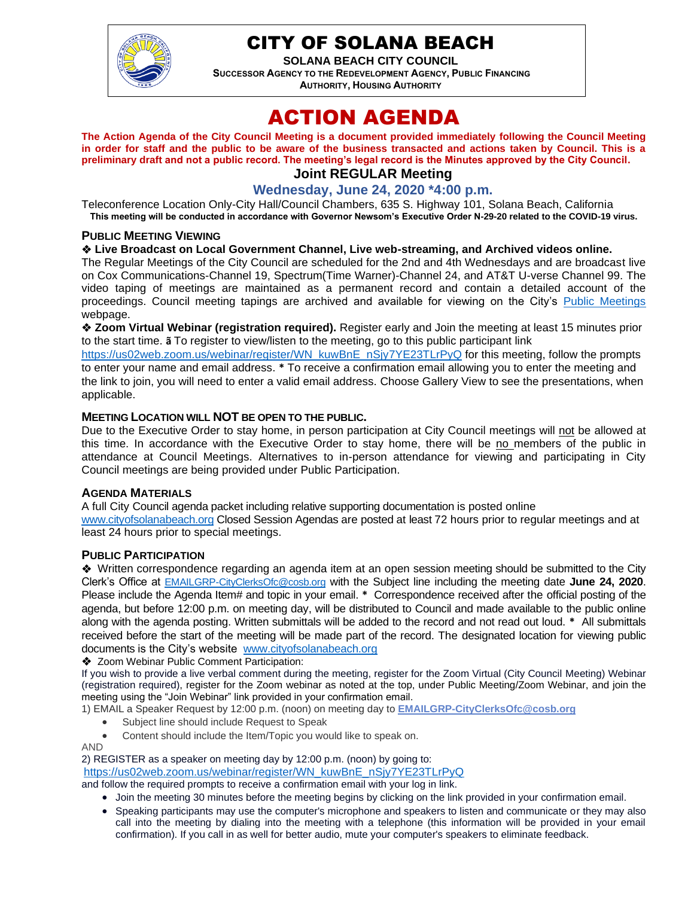

# CITY OF SOLANA BEACH

**SOLANA BEACH CITY COUNCIL SUCCESSOR AGENCY TO THE REDEVELOPMENT AGENCY, PUBLIC FINANCING AUTHORITY, HOUSING AUTHORITY** 

# ACTION AGENDA

**The Action Agenda of the City Council Meeting is a document provided immediately following the Council Meeting in order for staff and the public to be aware of the business transacted and actions taken by Council. This is a preliminary draft and not a public record. The meeting's legal record is the Minutes approved by the City Council. Joint REGULAR Meeting**

## **Wednesday, June 24, 2020 \*4:00 p.m.**

Teleconference Location Only-City Hall/Council Chambers, 635 S. Highway 101, Solana Beach, California **This meeting will be conducted in accordance with Governor Newsom's Executive Order N-29-20 related to the COVID-19 virus.**

#### **PUBLIC MEETING VIEWING**

#### ❖ **Live Broadcast on Local Government Channel, Live web-streaming, and Archived videos online.**

The Regular Meetings of the City Council are scheduled for the 2nd and 4th Wednesdays and are broadcast live on Cox Communications-Channel 19, Spectrum(Time Warner)-Channel 24, and AT&T U-verse Channel 99. The video taping of meetings are maintained as a permanent record and contain a detailed account of the proceedings. Council meeting tapings are archived and available for viewing on the City's [Public Meetings](https://urldefense.proofpoint.com/v2/url?u=https-3A__www.ci.solana-2Dbeach.ca.us_index.asp-3FSEC-3DF0F1200D-2D21C6-2D4A88-2D8AE1-2D0BC07C1A81A7-26Type-3DB-5FBASIC&d=DwMFAg&c=euGZstcaTDllvimEN8b7jXrwqOf-v5A_CdpgnVfiiMM&r=1XAsCUuqwK_tji2t0s1uIQ&m=wny2RVfZJ2tN24LkqZmkUWNpwL_peNtTZUBlTBZiMM4&s=WwpcEQpHHkFen6nS6q2waMuQ_VMZ-i1YZ60lD-dYRRE&e=) webpage.

❖ **Zoom Virtual Webinar (registration required).** Register early and Join the meeting at least 15 minutes prior to the start time. **ã** To register to view/listen to the meeting, go to this public participant link

[https://us02web.zoom.us/webinar/register/WN\\_kuwBnE\\_nSjy7YE23TLrPyQ](https://us02web.zoom.us/webinar/register/WN_kuwBnE_nSjy7YE23TLrPyQ) for this meeting, follow the prompts to enter your name and email address. **\*** To receive a confirmation email allowing you to enter the meeting and the link to join, you will need to enter a valid email address. Choose Gallery View to see the presentations, when applicable.

#### **MEETING LOCATION WILL NOT BE OPEN TO THE PUBLIC.**

Due to the Executive Order to stay home, in person participation at City Council meetings will not be allowed at this time. In accordance with the Executive Order to stay home, there will be no members of the public in attendance at Council Meetings. Alternatives to in-person attendance for viewing and participating in City Council meetings are being provided under Public Participation.

#### **AGENDA MATERIALS**

A full City Council agenda packet including relative supporting documentation is posted online [www.cityofsolanabeach.org](https://urldefense.proofpoint.com/v2/url?u=http-3A__www.cityofsolanabeach.org&d=DwQFAg&c=euGZstcaTDllvimEN8b7jXrwqOf-v5A_CdpgnVfiiMM&r=1XAsCUuqwK_tji2t0s1uIQ&m=wny2RVfZJ2tN24LkqZmkUWNpwL_peNtTZUBlTBZiMM4&s=6ATguqxJUOD7VVtloplAbyuyNaVcEh6Fl4q1iw55lCY&e=) Closed Session Agendas are posted at least 72 hours prior to regular meetings and at least 24 hours prior to special meetings.

#### **PUBLIC PARTICIPATION**

❖Written correspondence regarding an agenda item at an open session meeting should be submitted to the City Clerk's Office at [EMAILGRP-CityClerksOfc@cosb.org](mailto:EMAILGRP-CityClerksOfc@cosb.org) with the Subject line including the meeting date **June 24, 2020**. Please include the Agenda Item# and topic in your email. **\*** Correspondence received after the official posting of the agenda, but before 12:00 p.m. on meeting day, will be distributed to Council and made available to the public online along with the agenda posting. Written submittals will be added to the record and not read out loud. **\*** All submittals received before the start of the meeting will be made part of the record. The designated location for viewing public documents is the City's website [www.cityofsolanabeach.org](http://www.cityofsolanabeach.org/)

❖ Zoom Webinar Public Comment Participation:

If you wish to provide a live verbal comment during the meeting, register for the Zoom Virtual (City Council Meeting) Webinar (registration required), register for the Zoom webinar as noted at the top, under Public Meeting/Zoom Webinar, and join the meeting using the "Join Webinar" link provided in your confirmation email.

- 1) EMAIL a Speaker Request by 12:00 p.m. (noon) on meeting day to **[EMAILGRP-CityClerksOfc@cosb.org](mailto:EMAILGRP-CityClerksOfc@cosb.org)**
	- Subject line should include Request to Speak
	- Content should include the Item/Topic you would like to speak on.
- AND

2) REGISTER as a speaker on meeting day by 12:00 p.m. (noon) by going to:

[https://us02web.zoom.us/webinar/register/WN\\_kuwBnE\\_nSjy7YE23TLrPyQ](https://us02web.zoom.us/webinar/register/WN_kuwBnE_nSjy7YE23TLrPyQ)

and follow the required prompts to receive a confirmation email with your log in link.

- Join the meeting 30 minutes before the meeting begins by clicking on the link provided in your confirmation email.
- Speaking participants may use the computer's microphone and speakers to listen and communicate or they may also call into the meeting by dialing into the meeting with a telephone (this information will be provided in your email confirmation). If you call in as well for better audio, mute your computer's speakers to eliminate feedback.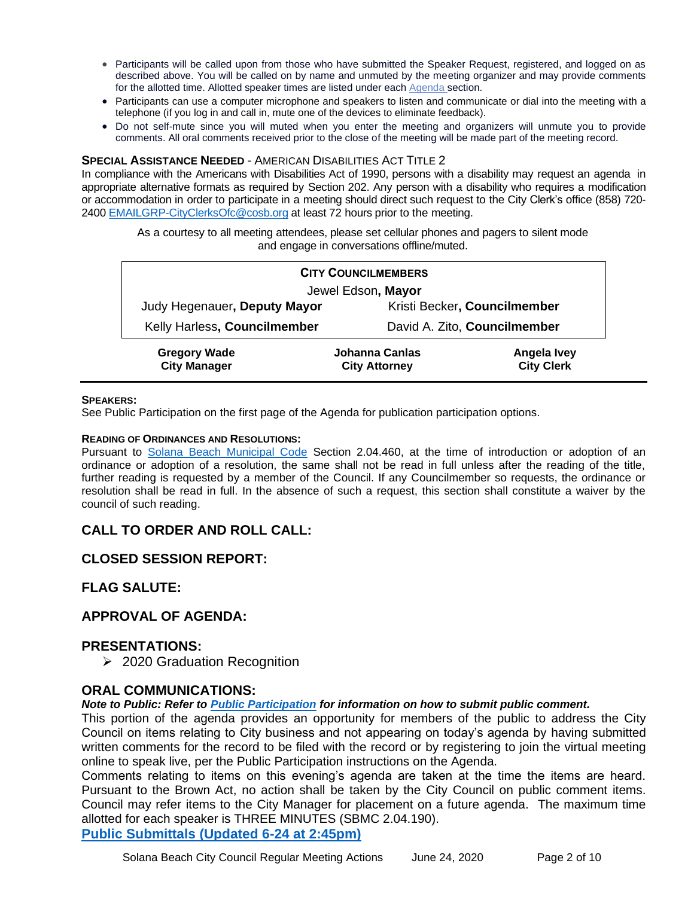- Participants will be called upon from those who have submitted the Speaker Request, registered, and logged on as described above. You will be called on by name and unmuted by the meeting organizer and may provide comments for the allotted time. Allotted speaker times are listed under each [Agenda s](https://urldefense.proofpoint.com/v2/url?u=https-3A__www.ci.solana-2Dbeach.ca.us_index.asp-3FSEC-3DF0F1200D-2D21C6-2D4A88-2D8AE1-2D0BC07C1A81A7-26Type-3DB-5FBASIC&d=DwMFaQ&c=euGZstcaTDllvimEN8b7jXrwqOf-v5A_CdpgnVfiiMM&r=1XAsCUuqwK_tji2t0s1uIQ&m=C7WzXfOw2_nkEFMJClT55zZsF4tmIf_7KTn0o1WpYqI&s=3DcsWExM2_nx_xpvFtXslUjphiXd0MDCCF18y_Qy5yU&e=)ection.
- Participants can use a computer microphone and speakers to listen and communicate or dial into the meeting with a telephone (if you log in and call in, mute one of the devices to eliminate feedback).
- Do not self-mute since you will muted when you enter the meeting and organizers will unmute you to provide comments. All oral comments received prior to the close of the meeting will be made part of the meeting record.

#### **SPECIAL ASSISTANCE NEEDED** - AMERICAN DISABILITIES ACT TITLE 2

In compliance with the Americans with Disabilities Act of 1990, persons with a disability may request an agenda in appropriate alternative formats as required by Section 202. Any person with a disability who requires a modification or accommodation in order to participate in a meeting should direct such request to the City Clerk's office (858) 720- 2400 [EMAILGRP-CityClerksOfc@cosb.org](mailto:EMAILGRP-CityClerksOfc@cosb.org) at least 72 hours prior to the meeting.

As a courtesy to all meeting attendees, please set cellular phones and pagers to silent mode and engage in conversations offline/muted.

| <b>CITY COUNCILMEMBERS</b>                 |                                        |                                  |
|--------------------------------------------|----------------------------------------|----------------------------------|
| Jewel Edson, Mayor                         |                                        |                                  |
| Judy Hegenauer, Deputy Mayor               | Kristi Becker, Councilmember           |                                  |
| Kelly Harless, Councilmember               | David A. Zito, Councilmember           |                                  |
| <b>Gregory Wade</b><br><b>City Manager</b> | Johanna Canlas<br><b>City Attorney</b> | Angela Ivey<br><b>City Clerk</b> |

#### **SPEAKERS:**

See Public Participation on the first page of the Agenda for publication participation options.

#### **READING OF ORDINANCES AND RESOLUTIONS:**

Pursuant to [Solana Beach Municipal Code](mailto:https://www.codepublishing.com/CA/SolanaBeach/) Section 2.04.460, at the time of introduction or adoption of an ordinance or adoption of a resolution, the same shall not be read in full unless after the reading of the title, further reading is requested by a member of the Council. If any Councilmember so requests, the ordinance or resolution shall be read in full. In the absence of such a request, this section shall constitute a waiver by the council of such reading.

## **CALL TO ORDER AND ROLL CALL:**

## **CLOSED SESSION REPORT:**

## **FLAG SALUTE:**

## **APPROVAL OF AGENDA:**

#### **PRESENTATIONS:**

➢ 2020 Graduation Recognition

#### **ORAL COMMUNICATIONS:**

#### *Note to Public: Refer to Public Participation for information on how to submit public comment.*

This portion of the agenda provides an opportunity for members of the public to address the City Council on items relating to City business and not appearing on today's agenda by having submitted written comments for the record to be filed with the record or by registering to join the virtual meeting online to speak live, per the Public Participation instructions on the Agenda.

Comments relating to items on this evening's agenda are taken at the time the items are heard. Pursuant to the Brown Act, no action shall be taken by the City Council on public comment items. Council may refer items to the City Manager for placement on a future agenda. The maximum time allotted for each speaker is THREE MINUTES (SBMC 2.04.190).

**Public [Submittals \(Updated 6-24 at 2:45pm\)](https://www.dropbox.com/sh/w40epx81i79wh2e/AADTKvHOtz-m70cpko_VsDHCa?dl=0)**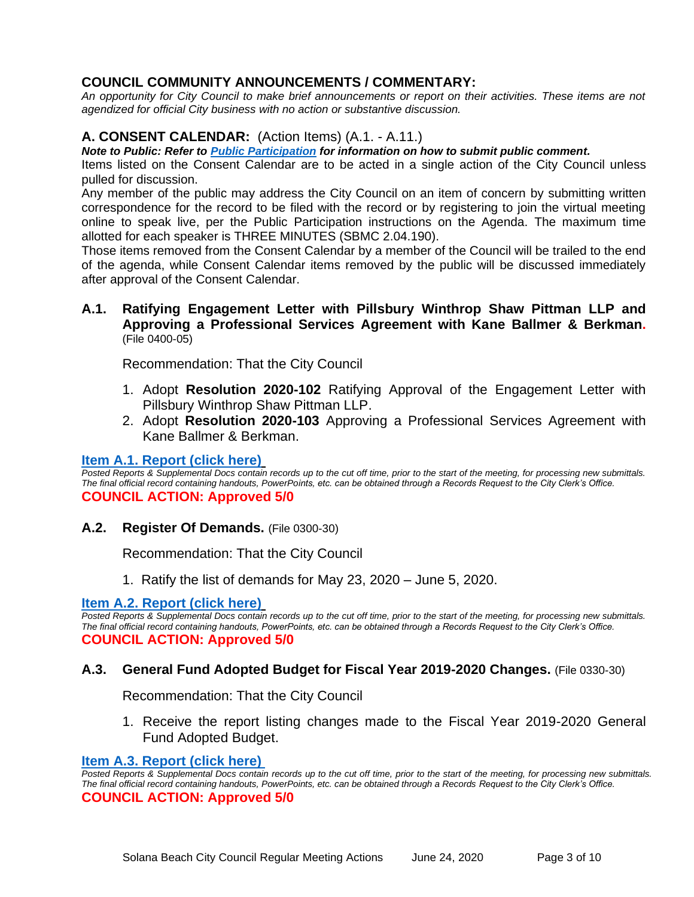# **COUNCIL COMMUNITY ANNOUNCEMENTS / COMMENTARY:**

*An opportunity for City Council to make brief announcements or report on their activities. These items are not agendized for official City business with no action or substantive discussion.* 

## **A. CONSENT CALENDAR:** (Action Items) (A.1. - A.11.)

*Note to Public: Refer to Public Participation for information on how to submit public comment.* 

Items listed on the Consent Calendar are to be acted in a single action of the City Council unless pulled for discussion.

Any member of the public may address the City Council on an item of concern by submitting written correspondence for the record to be filed with the record or by registering to join the virtual meeting online to speak live, per the Public Participation instructions on the Agenda. The maximum time allotted for each speaker is THREE MINUTES (SBMC 2.04.190).

Those items removed from the Consent Calendar by a member of the Council will be trailed to the end of the agenda, while Consent Calendar items removed by the public will be discussed immediately after approval of the Consent Calendar.

#### **A.1. Ratifying Engagement Letter with Pillsbury Winthrop Shaw Pittman LLP and Approving a Professional Services Agreement with Kane Ballmer & Berkman.** (File 0400-05)

Recommendation: That the City Council

- 1. Adopt **Resolution 2020-102** Ratifying Approval of the Engagement Letter with Pillsbury Winthrop Shaw Pittman LLP.
- 2. Adopt **Resolution 2020-103** Approving a Professional Services Agreement with Kane Ballmer & Berkman.

## **[Item A.1. Report \(click here\)](https://solanabeach.govoffice3.com/vertical/Sites/%7B840804C2-F869-4904-9AE3-720581350CE7%7D/uploads/Item_A.1._Report_(click_here)_06-24-20_-_O.pdf)**

*Posted Reports & Supplemental Docs contain records up to the cut off time, prior to the start of the meeting, for processing new submittals. The final official record containing handouts, PowerPoints, etc. can be obtained through a Records Request to the City Clerk's Office.* **COUNCIL ACTION: Approved 5/0**

**A.2. Register Of Demands.** (File 0300-30)

Recommendation: That the City Council

1. Ratify the list of demands for May 23, 2020 – June 5, 2020.

## **[Item A.2. Report \(click here\)](https://solanabeach.govoffice3.com/vertical/Sites/%7B840804C2-F869-4904-9AE3-720581350CE7%7D/uploads/Item_A.2._Report_(click_here)_06-24-20_-_O.pdf)**

*Posted Reports & Supplemental Docs contain records up to the cut off time, prior to the start of the meeting, for processing new submittals. The final official record containing handouts, PowerPoints, etc. can be obtained through a Records Request to the City Clerk's Office.* **COUNCIL ACTION: Approved 5/0**

## **A.3. General Fund Adopted Budget for Fiscal Year 2019-2020 Changes.** (File 0330-30)

Recommendation: That the City Council

1. Receive the report listing changes made to the Fiscal Year 2019-2020 General Fund Adopted Budget.

#### **[Item A.3. Report](https://solanabeach.govoffice3.com/vertical/Sites/%7B840804C2-F869-4904-9AE3-720581350CE7%7D/uploads/Item_A.3._Report_(click_here)_06-24-20_-_O.pdf) (click here)**

*Posted Reports & Supplemental Docs contain records up to the cut off time, prior to the start of the meeting, for processing new submittals. The final official record containing handouts, PowerPoints, etc. can be obtained through a Records Request to the City Clerk's Office.* **COUNCIL ACTION: Approved 5/0**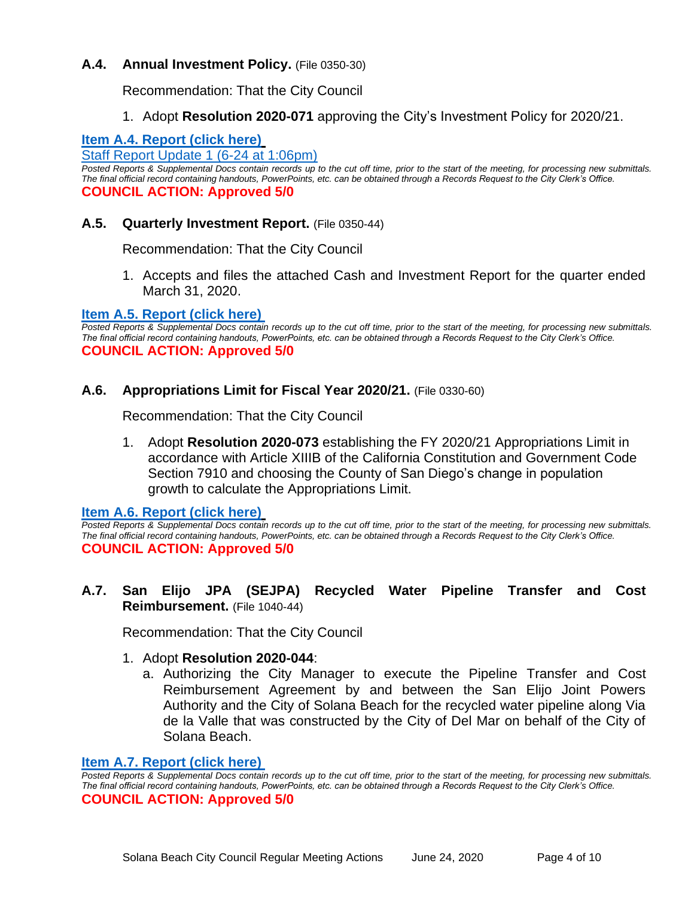## **A.4. Annual Investment Policy.** (File 0350-30)

Recommendation: That the City Council

1. Adopt **Resolution 2020-071** approving the City's Investment Policy for 2020/21.

# **[Item A.4. Report \(click here\)](https://solanabeach.govoffice3.com/vertical/Sites/%7B840804C2-F869-4904-9AE3-720581350CE7%7D/uploads/Item_A.4._Report_(click_here)_06-24-20_-_O.pdf)**

[Staff Report Update 1 \(6-24 at 1:06pm\)](https://www.dropbox.com/sh/cms556s4gppph2x/AAA6d0epvh9n7HdB_aKt4F1ta?dl=0)

*Posted Reports & Supplemental Docs contain records up to the cut off time, prior to the start of the meeting, for processing new submittals. The final official record containing handouts, PowerPoints, etc. can be obtained through a Records Request to the City Clerk's Office.* **COUNCIL ACTION: Approved 5/0**

## **A.5. Quarterly Investment Report.** (File 0350-44)

Recommendation: That the City Council

1. Accepts and files the attached Cash and Investment Report for the quarter ended March 31, 2020.

## **[Item A.5. Report \(click here\)](https://solanabeach.govoffice3.com/vertical/Sites/%7B840804C2-F869-4904-9AE3-720581350CE7%7D/uploads/Item_A.5._Report_(click_here)_06-24-20_-_O.pdf)**

*Posted Reports & Supplemental Docs contain records up to the cut off time, prior to the start of the meeting, for processing new submittals. The final official record containing handouts, PowerPoints, etc. can be obtained through a Records Request to the City Clerk's Office.* **COUNCIL ACTION: Approved 5/0**

## **A.6. Appropriations Limit for Fiscal Year 2020/21.** (File 0330-60)

Recommendation: That the City Council

1. Adopt **Resolution 2020-073** establishing the FY 2020/21 Appropriations Limit in accordance with Article XIIIB of the California Constitution and Government Code Section 7910 and choosing the County of San Diego's change in population growth to calculate the Appropriations Limit.

**[Item A.6. Report \(click here\)](https://solanabeach.govoffice3.com/vertical/Sites/%7B840804C2-F869-4904-9AE3-720581350CE7%7D/uploads/Item_A.6._Report_(click_here)_06-24-20_-_O.pdf)**

*Posted Reports & Supplemental Docs contain records up to the cut off time, prior to the start of the meeting, for processing new submittals. The final official record containing handouts, PowerPoints, etc. can be obtained through a Records Request to the City Clerk's Office.* **COUNCIL ACTION: Approved 5/0**

## **A.7. San Elijo JPA (SEJPA) Recycled Water Pipeline Transfer and Cost Reimbursement.** (File 1040-44)

Recommendation: That the City Council

## 1. Adopt **Resolution 2020-044**:

a. Authorizing the City Manager to execute the Pipeline Transfer and Cost Reimbursement Agreement by and between the San Elijo Joint Powers Authority and the City of Solana Beach for the recycled water pipeline along Via de la Valle that was constructed by the City of Del Mar on behalf of the City of Solana Beach.

#### **[Item A.7. Report \(click here\)](https://solanabeach.govoffice3.com/vertical/Sites/%7B840804C2-F869-4904-9AE3-720581350CE7%7D/uploads/Item_A.7._Report_(click_here)_06-24-20_-_O.pdf)**

*Posted Reports & Supplemental Docs contain records up to the cut off time, prior to the start of the meeting, for processing new submittals. The final official record containing handouts, PowerPoints, etc. can be obtained through a Records Request to the City Clerk's Office.* **COUNCIL ACTION: Approved 5/0**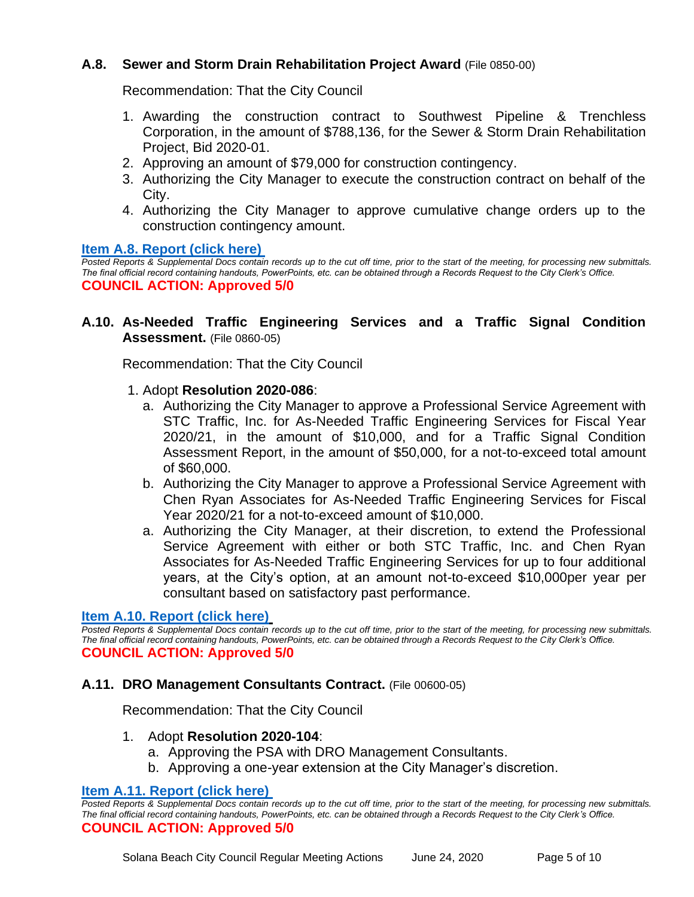# **A.8. Sewer and Storm Drain Rehabilitation Project Award** (File 0850-00)

Recommendation: That the City Council

- 1. Awarding the construction contract to Southwest Pipeline & Trenchless Corporation, in the amount of \$788,136, for the Sewer & Storm Drain Rehabilitation Project, Bid 2020-01.
- 2. Approving an amount of \$79,000 for construction contingency.
- 3. Authorizing the City Manager to execute the construction contract on behalf of the City.
- 4. Authorizing the City Manager to approve cumulative change orders up to the construction contingency amount.

## **[Item A.8. Report \(click here\)](https://solanabeach.govoffice3.com/vertical/Sites/%7B840804C2-F869-4904-9AE3-720581350CE7%7D/uploads/Item_A.8._Report_(click_here)_06-24-20_-_O.pdf)**

*Posted Reports & Supplemental Docs contain records up to the cut off time, prior to the start of the meeting, for processing new submittals. The final official record containing handouts, PowerPoints, etc. can be obtained through a Records Request to the City Clerk's Office.* **COUNCIL ACTION: Approved 5/0**

## **A.10. As-Needed Traffic Engineering Services and a Traffic Signal Condition Assessment.** (File 0860-05)

Recommendation: That the City Council

## 1. Adopt **Resolution 2020-086**:

- a. Authorizing the City Manager to approve a Professional Service Agreement with STC Traffic, Inc. for As-Needed Traffic Engineering Services for Fiscal Year 2020/21, in the amount of \$10,000, and for a Traffic Signal Condition Assessment Report, in the amount of \$50,000, for a not-to-exceed total amount of \$60,000.
- b. Authorizing the City Manager to approve a Professional Service Agreement with Chen Ryan Associates for As-Needed Traffic Engineering Services for Fiscal Year 2020/21 for a not-to-exceed amount of \$10,000.
- a. Authorizing the City Manager, at their discretion, to extend the Professional Service Agreement with either or both STC Traffic, Inc. and Chen Ryan Associates for As-Needed Traffic Engineering Services for up to four additional years, at the City's option, at an amount not-to-exceed \$10,000per year per consultant based on satisfactory past performance.

## **[Item A.10. Report \(click here\)](https://solanabeach.govoffice3.com/vertical/Sites/%7B840804C2-F869-4904-9AE3-720581350CE7%7D/uploads/Item_A.10._Report_(click_here)_06-24-20_-_O.pdf)**

*Posted Reports & Supplemental Docs contain records up to the cut off time, prior to the start of the meeting, for processing new submittals. The final official record containing handouts, PowerPoints, etc. can be obtained through a Records Request to the City Clerk's Office.* **COUNCIL ACTION: Approved 5/0**

## **A.11. DRO Management Consultants Contract.** (File 00600-05)

Recommendation: That the City Council

#### 1. Adopt **Resolution 2020-104**:

- a. Approving the PSA with DRO Management Consultants.
- b. Approving a one-year extension at the City Manager's discretion.

#### **[Item A.11. Report \(click here\)](https://solanabeach.govoffice3.com/vertical/Sites/%7B840804C2-F869-4904-9AE3-720581350CE7%7D/uploads/Item_A.11._Report_(click_here)_06-24-20_-_O.pdf)**

*Posted Reports & Supplemental Docs contain records up to the cut off time, prior to the start of the meeting, for processing new submittals. The final official record containing handouts, PowerPoints, etc. can be obtained through a Records Request to the City Clerk's Office.* **COUNCIL ACTION: Approved 5/0**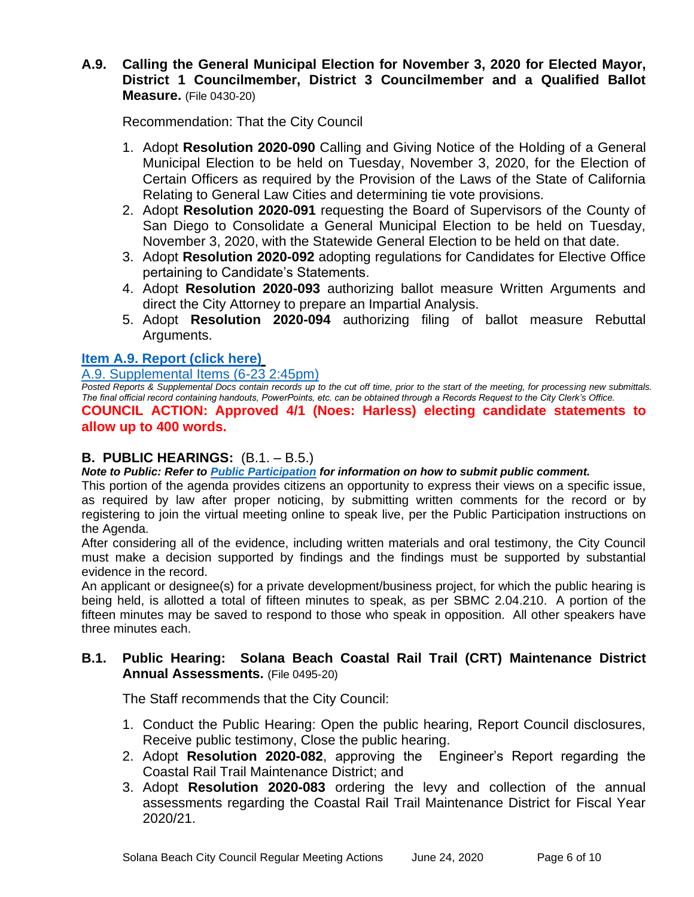# **A.9. Calling the General Municipal Election for November 3, 2020 for Elected Mayor, District 1 Councilmember, District 3 Councilmember and a Qualified Ballot Measure.** (File 0430-20)

Recommendation: That the City Council

- 1. Adopt **Resolution 2020-090** Calling and Giving Notice of the Holding of a General Municipal Election to be held on Tuesday, November 3, 2020, for the Election of Certain Officers as required by the Provision of the Laws of the State of California Relating to General Law Cities and determining tie vote provisions.
- 2. Adopt **Resolution 2020-091** requesting the Board of Supervisors of the County of San Diego to Consolidate a General Municipal Election to be held on Tuesday, November 3, 2020, with the Statewide General Election to be held on that date.
- 3. Adopt **Resolution 2020-092** adopting regulations for Candidates for Elective Office pertaining to Candidate's Statements.
- 4. Adopt **Resolution 2020-093** authorizing ballot measure Written Arguments and direct the City Attorney to prepare an Impartial Analysis.
- 5. Adopt **Resolution 2020-094** authorizing filing of ballot measure Rebuttal Arguments.

# **[Item A.9. Report \(click here\)](https://solanabeach.govoffice3.com/vertical/Sites/%7B840804C2-F869-4904-9AE3-720581350CE7%7D/uploads/Item_A.9._Report_(click_here)_06-24-20.pdf)**

[A.9. Supplemental Items \(6-23 2:45pm\)](https://www.dropbox.com/sh/5pcmmrrztgl1w42/AADa_qe5EKknqW51XDxLcVT_a?dl=0)

*Posted Reports & Supplemental Docs contain records up to the cut off time, prior to the start of the meeting, for processing new submittals. The final official record containing handouts, PowerPoints, etc. can be obtained through a Records Request to the City Clerk's Office.* **COUNCIL ACTION: Approved 4/1 (Noes: Harless) electing candidate statements to** 

# **allow up to 400 words.**

# **B. PUBLIC HEARINGS:** (B.1. – B.5.)

*Note to Public: Refer to Public Participation for information on how to submit public comment.* 

This portion of the agenda provides citizens an opportunity to express their views on a specific issue, as required by law after proper noticing, by submitting written comments for the record or by registering to join the virtual meeting online to speak live, per the Public Participation instructions on the Agenda.

After considering all of the evidence, including written materials and oral testimony, the City Council must make a decision supported by findings and the findings must be supported by substantial evidence in the record.

An applicant or designee(s) for a private development/business project, for which the public hearing is being held, is allotted a total of fifteen minutes to speak, as per SBMC 2.04.210. A portion of the fifteen minutes may be saved to respond to those who speak in opposition. All other speakers have three minutes each.

# **B.1. Public Hearing: Solana Beach Coastal Rail Trail (CRT) Maintenance District Annual Assessments.** (File 0495-20)

The Staff recommends that the City Council:

- 1. Conduct the Public Hearing: Open the public hearing, Report Council disclosures, Receive public testimony, Close the public hearing.
- 2. Adopt **Resolution 2020-082**, approving the Engineer's Report regarding the Coastal Rail Trail Maintenance District; and
- 3. Adopt **Resolution 2020-083** ordering the levy and collection of the annual assessments regarding the Coastal Rail Trail Maintenance District for Fiscal Year 2020/21.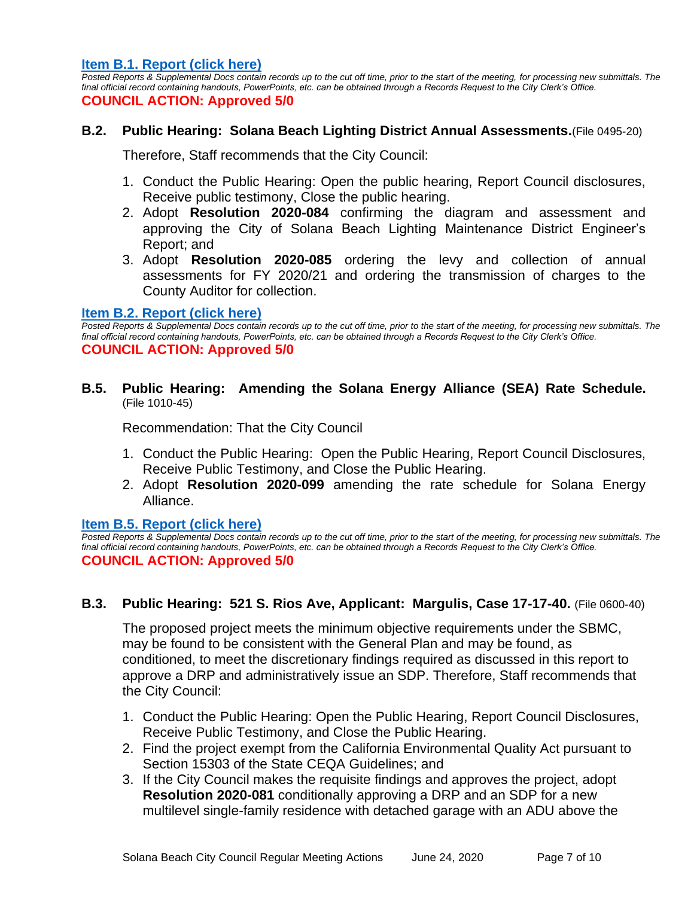**[Item B.1. Report \(click here\)](https://solanabeach.govoffice3.com/vertical/Sites/%7B840804C2-F869-4904-9AE3-720581350CE7%7D/uploads/Item_B.1._Report_(click_here)_06-24-20_-_O.pdf)**

*Posted Reports & Supplemental Docs contain records up to the cut off time, prior to the start of the meeting, for processing new submittals. The final official record containing handouts, PowerPoints, etc. can be obtained through a Records Request to the City Clerk's Office.* **COUNCIL ACTION: Approved 5/0**

## **B.2. Public Hearing: Solana Beach Lighting District Annual Assessments.**(File 0495-20)

Therefore, Staff recommends that the City Council:

- 1. Conduct the Public Hearing: Open the public hearing, Report Council disclosures, Receive public testimony, Close the public hearing.
- 2. Adopt **Resolution 2020-084** confirming the diagram and assessment and approving the City of Solana Beach Lighting Maintenance District Engineer's Report; and
- 3. Adopt **Resolution 2020-085** ordering the levy and collection of annual assessments for FY 2020/21 and ordering the transmission of charges to the County Auditor for collection.

#### **[Item B.2. Report \(click here\)](https://solanabeach.govoffice3.com/vertical/Sites/%7B840804C2-F869-4904-9AE3-720581350CE7%7D/uploads/Item_B.2._Report_(click_here)_06-24-20_-_O.pdf)**

Posted Reports & Supplemental Docs contain records up to the cut off time, prior to the start of the meeting, for processing new submittals. The *final official record containing handouts, PowerPoints, etc. can be obtained through a Records Request to the City Clerk's Office.* **COUNCIL ACTION: Approved 5/0**

**B.5. Public Hearing: Amending the Solana Energy Alliance (SEA) Rate Schedule.**  (File 1010-45)

Recommendation: That the City Council

- 1. Conduct the Public Hearing: Open the Public Hearing, Report Council Disclosures, Receive Public Testimony, and Close the Public Hearing.
- 2. Adopt **Resolution 2020-099** amending the rate schedule for Solana Energy Alliance.

## **[Item B.5. Report](https://solanabeach.govoffice3.com/vertical/Sites/%7B840804C2-F869-4904-9AE3-720581350CE7%7D/uploads/Item_B.5._Report_(click_here)_06-24-20_-_O.pdf) (click here)**

*Posted Reports & Supplemental Docs contain records up to the cut off time, prior to the start of the meeting, for processing new submittals. The final official record containing handouts, PowerPoints, etc. can be obtained through a Records Request to the City Clerk's Office.* **COUNCIL ACTION: Approved 5/0**

# **B.3. Public Hearing: 521 S. Rios Ave, Applicant: Margulis, Case 17-17-40.** (File 0600-40)

The proposed project meets the minimum objective requirements under the SBMC, may be found to be consistent with the General Plan and may be found, as conditioned, to meet the discretionary findings required as discussed in this report to approve a DRP and administratively issue an SDP. Therefore, Staff recommends that the City Council:

- 1. Conduct the Public Hearing: Open the Public Hearing, Report Council Disclosures, Receive Public Testimony, and Close the Public Hearing.
- 2. Find the project exempt from the California Environmental Quality Act pursuant to Section 15303 of the State CEQA Guidelines; and
- 3. If the City Council makes the requisite findings and approves the project, adopt **Resolution 2020-081** conditionally approving a DRP and an SDP for a new multilevel single-family residence with detached garage with an ADU above the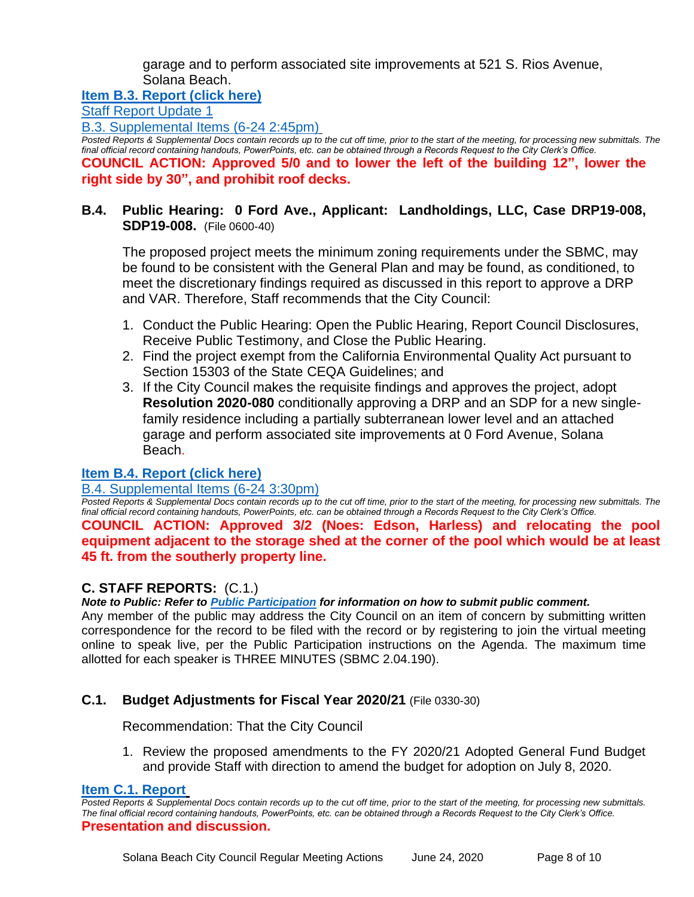garage and to perform associated site improvements at 521 S. Rios Avenue, Solana Beach.

**[Item B.3. Report \(click here\)](https://www.dropbox.com/sh/zg9vry1v431dlny/AAAJ-LrB-GoVOLH9ZZX_Ue5Ga?dl=0)**

[Staff Report Update 1](https://www.dropbox.com/sh/lylqwr47lq1r5h9/AACV7QEtZ0Enq55E9rWxmUqva?dl=0)

[B.3. Supplemental Items \(6-24](https://www.dropbox.com/sh/lylqwr47lq1r5h9/AACV7QEtZ0Enq55E9rWxmUqva?dl=0) 2:45pm)

**Posted Reports & Supplemental Docs contain records up to the cut off time, prior to the start of the meeting, for processing new submittals. The** *final official record containing handouts, PowerPoints, etc. can be obtained through a Records Request to the City Clerk's Office.* **COUNCIL ACTION: Approved 5/0 and to lower the left of the building 12", lower the right side by 30", and prohibit roof decks.** 

# **B.4. Public Hearing: 0 Ford Ave., Applicant: Landholdings, LLC, Case DRP19-008, SDP19-008.** (File 0600-40)

The proposed project meets the minimum zoning requirements under the SBMC, may be found to be consistent with the General Plan and may be found, as conditioned, to meet the discretionary findings required as discussed in this report to approve a DRP and VAR. Therefore, Staff recommends that the City Council:

- 1. Conduct the Public Hearing: Open the Public Hearing, Report Council Disclosures, Receive Public Testimony, and Close the Public Hearing.
- 2. Find the project exempt from the California Environmental Quality Act pursuant to Section 15303 of the State CEQA Guidelines; and
- 3. If the City Council makes the requisite findings and approves the project, adopt **Resolution 2020-080** conditionally approving a DRP and an SDP for a new singlefamily residence including a partially subterranean lower level and an attached garage and perform associated site improvements at 0 Ford Avenue, Solana Beach.

# **[Item B.4. Report \(click here\)](https://www.dropbox.com/sh/yfd3g32hwp295j6/AAACEgK18Be1inAyht3DKxzfa?dl=0)**

# [B.4. Supplemental Items \(6-24 3:30pm\)](https://www.dropbox.com/sh/uqi1o9l9id3q5rt/AABSnfvG1TddQ6SzabxGnw7Ea?dl=0)

*Posted Reports & Supplemental Docs contain records up to the cut off time, prior to the start of the meeting, for processing new submittals. The final official record containing handouts, PowerPoints, etc. can be obtained through a Records Request to the City Clerk's Office.*

**COUNCIL ACTION: Approved 3/2 (Noes: Edson, Harless) and relocating the pool equipment adjacent to the storage shed at the corner of the pool which would be at least 45 ft. from the southerly property line.**

# **C. STAFF REPORTS:** (C.1.)

*Note to Public: Refer to Public Participation for information on how to submit public comment.* 

Any member of the public may address the City Council on an item of concern by submitting written correspondence for the record to be filed with the record or by registering to join the virtual meeting online to speak live, per the Public Participation instructions on the Agenda. The maximum time allotted for each speaker is THREE MINUTES (SBMC 2.04.190).

# **C.1. Budget Adjustments for Fiscal Year 2020/21** (File 0330-30)

Recommendation: That the City Council

1. Review the proposed amendments to the FY 2020/21 Adopted General Fund Budget and provide Staff with direction to amend the budget for adoption on July 8, 2020.

## **[Item C.1. Report](https://solanabeach.govoffice3.com/vertical/Sites/%7B840804C2-F869-4904-9AE3-720581350CE7%7D/uploads/Item_C.2._Report_(click_here)_06-24-20.pdf)**

*Posted Reports & Supplemental Docs contain records up to the cut off time, prior to the start of the meeting, for processing new submittals. The final official record containing handouts, PowerPoints, etc. can be obtained through a Records Request to the City Clerk's Office.* **Presentation and discussion.**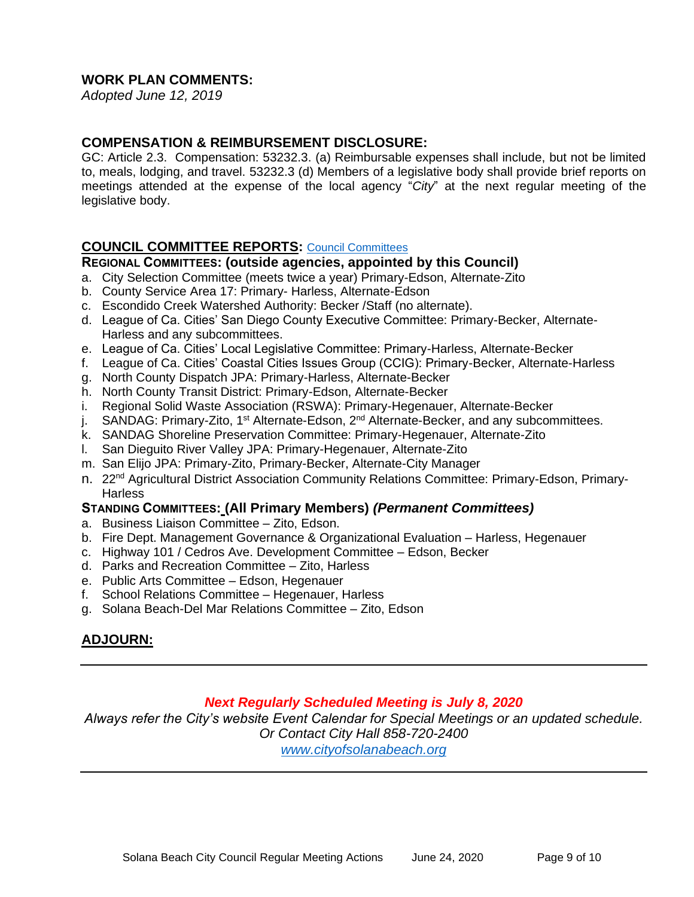## **WORK PLAN COMMENTS:**

*Adopted June 12, 2019*

## **COMPENSATION & REIMBURSEMENT DISCLOSURE:**

GC: Article 2.3. Compensation: 53232.3. (a) Reimbursable expenses shall include, but not be limited to, meals, lodging, and travel. 53232.3 (d) Members of a legislative body shall provide brief reports on meetings attended at the expense of the local agency "*City*" at the next regular meeting of the legislative body.

## **COUNCIL COMMITTEE REPORTS:** [Council Committees](https://www.ci.solana-beach.ca.us/index.asp?SEC=584E1192-3850-46EA-B977-088AC3E81E0D&Type=B_BASIC)

#### **REGIONAL COMMITTEES: (outside agencies, appointed by this Council)**

- a. City Selection Committee (meets twice a year) Primary-Edson, Alternate-Zito
- b. County Service Area 17: Primary- Harless, Alternate-Edson
- c. Escondido Creek Watershed Authority: Becker /Staff (no alternate).
- d. League of Ca. Cities' San Diego County Executive Committee: Primary-Becker, Alternate-Harless and any subcommittees.
- e. League of Ca. Cities' Local Legislative Committee: Primary-Harless, Alternate-Becker
- f. League of Ca. Cities' Coastal Cities Issues Group (CCIG): Primary-Becker, Alternate-Harless
- g. North County Dispatch JPA: Primary-Harless, Alternate-Becker
- h. North County Transit District: Primary-Edson, Alternate-Becker
- i. Regional Solid Waste Association (RSWA): Primary-Hegenauer, Alternate-Becker
- j. SANDAG: Primary-Zito, 1<sup>st</sup> Alternate-Edson, 2<sup>nd</sup> Alternate-Becker, and any subcommittees.
- k. SANDAG Shoreline Preservation Committee: Primary-Hegenauer, Alternate-Zito
- l. San Dieguito River Valley JPA: Primary-Hegenauer, Alternate-Zito
- m. San Elijo JPA: Primary-Zito, Primary-Becker, Alternate-City Manager
- n. 22<sup>nd</sup> Agricultural District Association Community Relations Committee: Primary-Edson, Primary-**Harless**

## **STANDING COMMITTEES: (All Primary Members)** *(Permanent Committees)*

- a. Business Liaison Committee Zito, Edson.
- b. Fire Dept. Management Governance & Organizational Evaluation Harless, Hegenauer
- c. Highway 101 / Cedros Ave. Development Committee Edson, Becker
- d. Parks and Recreation Committee Zito, Harless
- e. Public Arts Committee Edson, Hegenauer
- f. School Relations Committee Hegenauer, Harless
- g. Solana Beach-Del Mar Relations Committee Zito, Edson

# **ADJOURN:**

# *Next Regularly Scheduled Meeting is July 8, 2020*

*Always refer the City's website Event Calendar for Special Meetings or an updated schedule. Or Contact City Hall 858-720-2400*

*[www.cityofsolanabeach.org](http://www.cityofsolanabeach.org/)*